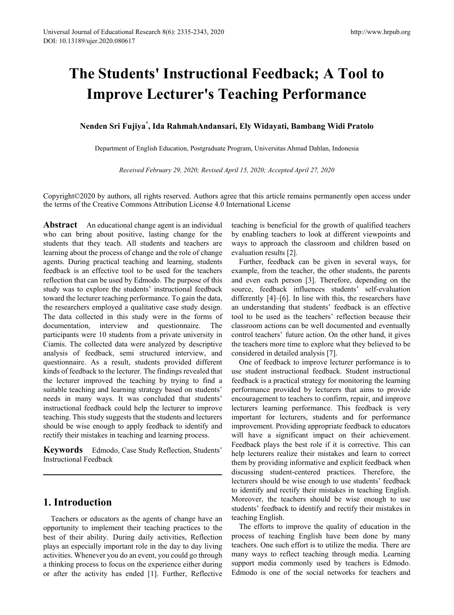# **The Students' Instructional Feedback; A Tool to Improve Lecturer's Teaching Performance**

**Nenden Sri Fujiya\* , Ida RahmahAndansari, Ely Widayati, Bambang Widi Pratolo**

Department of English Education, Postgraduate Program, Universitas Ahmad Dahlan, Indonesia

*Received February 29, 2020; Revised April 15, 2020; Accepted April 27, 2020*

Copyright©2020 by authors, all rights reserved. Authors agree that this article remains permanently open access under the terms of the Creative Commons Attribution License 4.0 International License

**Abstract** An educational change agent is an individual who can bring about positive, lasting change for the students that they teach. All students and teachers are learning about the process of change and the role of change agents. During practical teaching and learning, students feedback is an effective tool to be used for the teachers reflection that can be used by Edmodo. The purpose of this study was to explore the students' instructional feedback toward the lecturer teaching performance. To gain the data, the researchers employed a qualitative case study design. The data collected in this study were in the forms of documentation, interview and questionnaire. The participants were 10 students from a private university in Ciamis. The collected data were analyzed by descriptive analysis of feedback, semi structured interview, and questionnaire. As a result, students provided different kinds of feedback to the lecturer. The findings revealed that the lecturer improved the teaching by trying to find a suitable teaching and learning strategy based on students' needs in many ways. It was concluded that students' instructional feedback could help the lecturer to improve teaching. This study suggests that the students and lecturers should be wise enough to apply feedback to identify and rectify their mistakes in teaching and learning process.

**Keywords** Edmodo, Case Study Reflection, Students' Instructional Feedback

# **1. Introduction**

Teachers or educators as the agents of change have an opportunity to implement their teaching practices to the best of their ability. During daily activities, Reflection plays an especially important role in the day to day living activities. Whenever you do an event, you could go through a thinking process to focus on the experience either during or after the activity has ended [1]. Further, Reflective teaching is beneficial for the growth of qualified teachers by enabling teachers to look at different viewpoints and ways to approach the classroom and children based on evaluation results [2].

Further, feedback can be given in several ways, for example, from the teacher, the other students, the parents and even each person [3]. Therefore, depending on the source, feedback influences students' self-evaluation differently [4]–[6]. In line with this, the researchers have an understanding that students' feedback is an effective tool to be used as the teachers' reflection because their classroom actions can be well documented and eventually control teachers' future action. On the other hand, it gives the teachers more time to explore what they believed to be considered in detailed analysis [7].

One of feedback to improve lecturer performance is to use student instructional feedback. Student instructional feedback is a practical strategy for monitoring the learning performance provided by lecturers that aims to provide encouragement to teachers to confirm, repair, and improve lecturers learning performance. This feedback is very important for lecturers, students and for performance improvement. Providing appropriate feedback to educators will have a significant impact on their achievement. Feedback plays the best role if it is corrective. This can help lecturers realize their mistakes and learn to correct them by providing informative and explicit feedback when discussing student-centered practices. Therefore, the lecturers should be wise enough to use students' feedback to identify and rectify their mistakes in teaching English. Moreover, the teachers should be wise enough to use students' feedback to identify and rectify their mistakes in teaching English.

The efforts to improve the quality of education in the process of teaching English have been done by many teachers. One such effort is to utilize the media. There are many ways to reflect teaching through media. Learning support media commonly used by teachers is Edmodo. Edmodo is one of the social networks for teachers and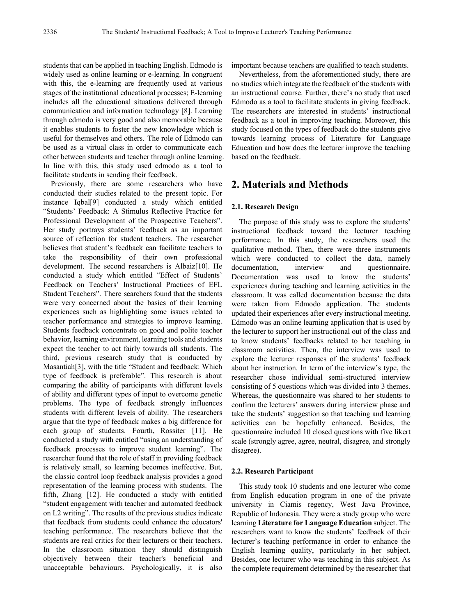students that can be applied in teaching English. Edmodo is widely used as online learning or e-learning. In congruent with this, the e-learning are frequently used at various stages of the institutional educational processes; E-learning includes all the educational situations delivered through communication and information technology [8]. Learning through edmodo is very good and also memorable because it enables students to foster the new knowledge which is useful for themselves and others. The role of Edmodo can be used as a virtual class in order to communicate each other between students and teacher through online learning. In line with this, this study used edmodo as a tool to facilitate students in sending their feedback.

Previously, there are some researchers who have conducted their studies related to the present topic. For instance Iqbal[9] conducted a study which entitled "Students' Feedback: A Stimulus Reflective Practice for Professional Development of the Prospective Teachers". Her study portrays students' feedback as an important source of reflection for student teachers. The researcher believes that student's feedback can facilitate teachers to take the responsibility of their own professional development. The second researchers is Albaiz[10]. He conducted a study which entitled "Effect of Students' Feedback on Teachers' Instructional Practices of EFL Student Teachers". There searchers found that the students were very concerned about the basics of their learning experiences such as highlighting some issues related to teacher performance and strategies to improve learning. Students feedback concentrate on good and polite teacher behavior, learning environment, learning tools and students expect the teacher to act fairly towards all students. The third, previous research study that is conducted by Masantiah[3], with the title "Student and feedback: Which type of feedback is preferable". This research is about comparing the ability of participants with different levels of ability and different types of input to overcome genetic problems. The type of feedback strongly influences students with different levels of ability. The researchers argue that the type of feedback makes a big difference for each group of students. Fourth, Rossiter [11]. He conducted a study with entitled "using an understanding of feedback processes to improve student learning". The researcher found that the role of staff in providing feedback is relatively small, so learning becomes ineffective. But, the classic control loop feedback analysis provides a good representation of the learning process with students. The fifth, Zhang [12]. He conducted a study with entitled "student engagement with teacher and automated feedback on L2 writing". The results of the previous studies indicate that feedback from students could enhance the educators' teaching performance. The researchers believe that the students are real critics for their lecturers or their teachers. In the classroom situation they should distinguish objectively between their teacher's beneficial and unacceptable behaviours. Psychologically, it is also

important because teachers are qualified to teach students.

Nevertheless, from the aforementioned study, there are no studies which integrate the feedback of the students with an instructional course. Further, there's no study that used Edmodo as a tool to facilitate students in giving feedback. The researchers are interested in students' instructional feedback as a tool in improving teaching. Moreover, this study focused on the types of feedback do the students give towards learning process of Literature for Language Education and how does the lecturer improve the teaching based on the feedback.

## **2. Materials and Methods**

#### **2.1. Research Design**

The purpose of this study was to explore the students' instructional feedback toward the lecturer teaching performance. In this study, the researchers used the qualitative method. Then, there were three instruments which were conducted to collect the data, namely documentation, interview and questionnaire. Documentation was used to know the students' experiences during teaching and learning activities in the classroom. It was called documentation because the data were taken from Edmodo application. The students updated their experiences after every instructional meeting. Edmodo was an online learning application that is used by the lecturer to support her instructional out of the class and to know students' feedbacks related to her teaching in classroom activities. Then, the interview was used to explore the lecturer responses of the students' feedback about her instruction. In term of the interview's type, the researcher chose individual semi-structured interview consisting of 5 questions which was divided into 3 themes. Whereas, the questionnaire was shared to her students to confirm the lecturers' answers during interview phase and take the students' suggestion so that teaching and learning activities can be hopefully enhanced. Besides, the questionnaire included 10 closed questions with five likert scale (strongly agree, agree, neutral, disagree, and strongly disagree).

#### **2.2. Research Participant**

This study took 10 students and one lecturer who come from English education program in one of the private university in Ciamis regency, West Java Province, Republic of Indonesia. They were a study group who were learning **Literature for Language Education** subject. The researchers want to know the students' feedback of their lecturer's teaching performance in order to enhance the English learning quality, particularly in her subject. Besides, one lecturer who was teaching in this subject. As the complete requirement determined by the researcher that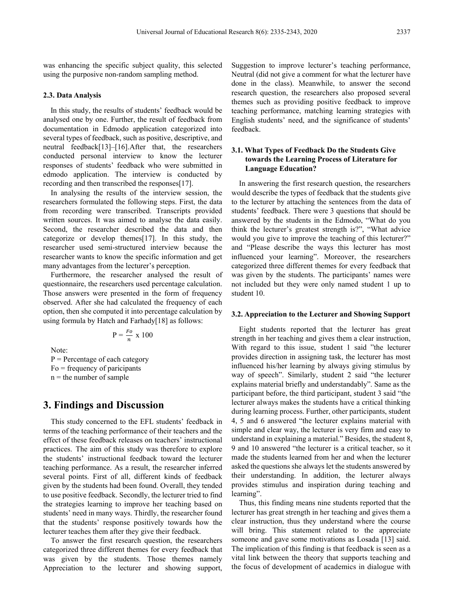was enhancing the specific subject quality, this selected using the purposive non-random sampling method.

#### **2.3. Data Analysis**

In this study, the results of students' feedback would be analysed one by one. Further, the result of feedback from documentation in Edmodo application categorized into several types of feedback, such as positive, descriptive, and neutral feedback[13]–[16].After that, the researchers conducted personal interview to know the lecturer responses of students' feedback who were submitted in edmodo application. The interview is conducted by recording and then transcribed the responses[17].

In analysing the results of the interview session, the researchers formulated the following steps. First, the data from recording were transcribed. Transcripts provided written sources. It was aimed to analyse the data easily. Second, the researcher described the data and then categorize or develop themes[17]. In this study, the researcher used semi-structured interview because the researcher wants to know the specific information and get many advantages from the lecturer's perception.

Furthermore, the researcher analysed the result of questionnaire, the researchers used percentage calculation. Those answers were presented in the form of frequency observed. After she had calculated the frequency of each option, then she computed it into percentage calculation by using formula by Hatch and Farhady[18] as follows:

$$
P = \frac{Fo}{n} \times 100
$$

Note:

 $P =$  Percentage of each category  $Fo = frequency of paricipants$  $n =$  the number of sample

## **3. Findings and Discussion**

This study concerned to the EFL students' feedback in terms of the teaching performance of their teachers and the effect of these feedback releases on teachers' instructional practices. The aim of this study was therefore to explore the students' instructional feedback toward the lecturer teaching performance. As a result, the researcher inferred several points. First of all, different kinds of feedback given by the students had been found. Overall, they tended to use positive feedback. Secondly, the lecturer tried to find the strategies learning to improve her teaching based on students' need in many ways. Thirdly, the researcher found that the students' response positively towards how the lecturer teaches them after they give their feedback.

To answer the first research question, the researchers categorized three different themes for every feedback that was given by the students. Those themes namely Appreciation to the lecturer and showing support,

Suggestion to improve lecturer's teaching performance, Neutral (did not give a comment for what the lecturer have done in the class). Meanwhile, to answer the second research question, the researchers also proposed several themes such as providing positive feedback to improve teaching performance, matching learning strategies with English students' need, and the significance of students' feedback.

## **3.1. What Types of Feedback Do the Students Give towards the Learning Process of Literature for Language Education?**

In answering the first research question, the researchers would describe the types of feedback that the students give to the lecturer by attaching the sentences from the data of students' feedback. There were 3 questions that should be answered by the students in the Edmodo, "What do you think the lecturer's greatest strength is?", "What advice would you give to improve the teaching of this lecturer?" and "Please describe the ways this lecturer has most influenced your learning". Moreover, the researchers categorized three different themes for every feedback that was given by the students. The participants' names were not included but they were only named student 1 up to student 10.

#### **3.2. Appreciation to the Lecturer and Showing Support**

Eight students reported that the lecturer has great strength in her teaching and gives them a clear instruction, With regard to this issue, student 1 said "the lecturer provides direction in assigning task, the lecturer has most influenced his/her learning by always giving stimulus by way of speech". Similarly, student 2 said "the lecturer explains material briefly and understandably". Same as the participant before, the third participant, student 3 said "the lecturer always makes the students have a critical thinking during learning process. Further, other participants, student 4, 5 and 6 answered "the lecturer explains material with simple and clear way, the lecturer is very firm and easy to understand in explaining a material." Besides, the student 8, 9 and 10 answered "the lecturer is a critical teacher, so it made the students learned from her and when the lecturer asked the questions she always let the students answered by their understanding. In addition, the lecturer always provides stimulus and inspiration during teaching and learning".

Thus, this finding means nine students reported that the lecturer has great strength in her teaching and gives them a clear instruction, thus they understand where the course will bring. This statement related to the appreciate someone and gave some motivations as Losada [13] said. The implication of this finding is that feedback is seen as a vital link between the theory that supports teaching and the focus of development of academics in dialogue with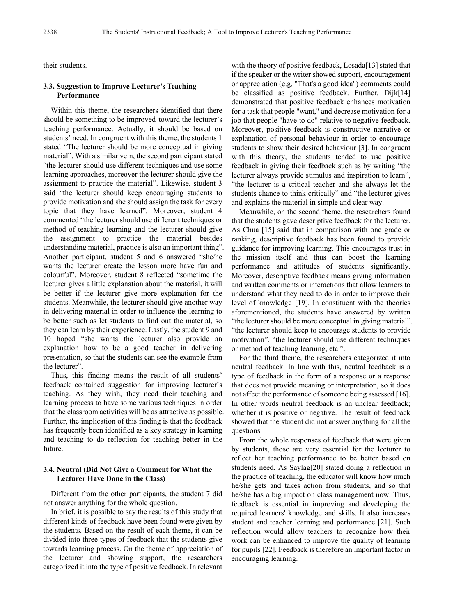their students.

## **3.3. Suggestion to Improve Lecturer's Teaching Performance**

Within this theme, the researchers identified that there should be something to be improved toward the lecturer's teaching performance. Actually, it should be based on students' need. In congruent with this theme, the students 1 stated "The lecturer should be more conceptual in giving material". With a similar vein, the second participant stated "the lecturer should use different techniques and use some learning approaches, moreover the lecturer should give the assignment to practice the material". Likewise, student 3 said "the lecturer should keep encouraging students to provide motivation and she should assign the task for every topic that they have learned". Moreover, student 4 commented "the lecturer should use different techniques or method of teaching learning and the lecturer should give the assignment to practice the material besides understanding material, practice is also an important thing". Another participant, student 5 and 6 answered "she/he wants the lecturer create the lesson more have fun and colourful". Moreover, student 8 reflected "sometime the lecturer gives a little explanation about the material, it will be better if the lecturer give more explanation for the students. Meanwhile, the lecturer should give another way in delivering material in order to influence the learning to be better such as let students to find out the material, so they can learn by their experience. Lastly, the student 9 and 10 hoped "she wants the lecturer also provide an explanation how to be a good teacher in delivering presentation, so that the students can see the example from the lecturer".

Thus, this finding means the result of all students' feedback contained suggestion for improving lecturer's teaching. As they wish, they need their teaching and learning process to have some various techniques in order that the classroom activities will be as attractive as possible. Further, the implication of this finding is that the feedback has frequently been identified as a key strategy in learning and teaching to do reflection for teaching better in the future.

## **3.4. Neutral (Did Not Give a Comment for What the Lecturer Have Done in the Class)**

Different from the other participants, the student 7 did not answer anything for the whole question.

In brief, it is possible to say the results of this study that different kinds of feedback have been found were given by the students. Based on the result of each theme, it can be divided into three types of feedback that the students give towards learning process. On the theme of appreciation of the lecturer and showing support, the researchers categorized it into the type of positive feedback. In relevant

with the theory of positive feedback, Losada[13] stated that if the speaker or the writer showed support, encouragement or appreciation (e.g. "That's a good idea") comments could be classified as positive feedback. Further, Dijk[14] demonstrated that positive feedback enhances motivation for a task that people "want," and decrease motivation for a job that people "have to do" relative to negative feedback. Moreover, positive feedback is constructive narrative or explanation of personal behaviour in order to encourage students to show their desired behaviour [3]. In congruent with this theory, the students tended to use positive feedback in giving their feedback such as by writing "the lecturer always provide stimulus and inspiration to learn", "the lecturer is a critical teacher and she always let the students chance to think critically" and "the lecturer gives and explains the material in simple and clear way.

Meanwhile, on the second theme, the researchers found that the students gave descriptive feedback for the lecturer. As Chua [15] said that in comparison with one grade or ranking, descriptive feedback has been found to provide guidance for improving learning. This encourages trust in the mission itself and thus can boost the learning performance and attitudes of students significantly. Moreover, descriptive feedback means giving information and written comments or interactions that allow learners to understand what they need to do in order to improve their level of knowledge [19]. In constituent with the theories aforementioned, the students have answered by written "the lecturer should be more conceptual in giving material". "the lecturer should keep to encourage students to provide motivation". "the lecturer should use different techniques or method of teaching learning, etc.".

For the third theme, the researchers categorized it into neutral feedback. In line with this, neutral feedback is a type of feedback in the form of a response or a response that does not provide meaning or interpretation, so it does not affect the performance of someone being assessed [16]. In other words neutral feedback is an unclear feedback; whether it is positive or negative. The result of feedback showed that the student did not answer anything for all the questions.

From the whole responses of feedback that were given by students, those are very essential for the lecturer to reflect her teaching performance to be better based on students need. As Saylag[20] stated doing a reflection in the practice of teaching, the educator will know how much he/she gets and takes action from students, and so that he/she has a big impact on class management now. Thus, feedback is essential in improving and developing the required learners' knowledge and skills. It also increases student and teacher learning and performance [21]. Such reflection would allow teachers to recognize how their work can be enhanced to improve the quality of learning for pupils [22]. Feedback is therefore an important factor in encouraging learning.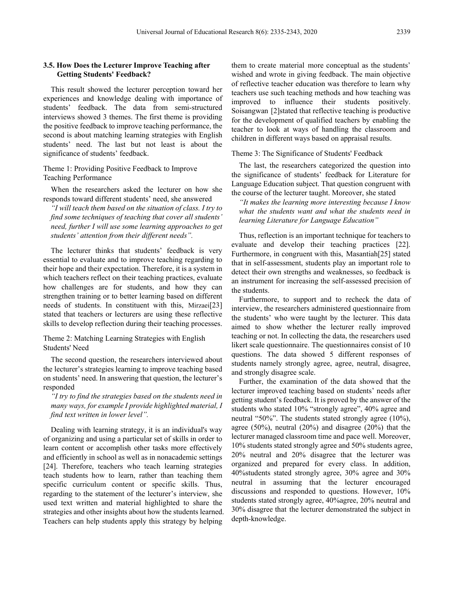## **3.5. How Does the Lecturer Improve Teaching after Getting Students' Feedback?**

This result showed the lecturer perception toward her experiences and knowledge dealing with importance of students' feedback. The data from semi-structured interviews showed 3 themes. The first theme is providing the positive feedback to improve teaching performance, the second is about matching learning strategies with English students' need. The last but not least is about the significance of students' feedback.

Theme 1: Providing Positive Feedback to Improve Teaching Performance

When the researchers asked the lecturer on how she responds toward different students' need, she answered

*"I will teach them based on the situation of class. I try to find some techniques of teaching that cover all students' need, further I will use some learning approaches to get students' attention from their different needs".*

The lecturer thinks that students' feedback is very essential to evaluate and to improve teaching regarding to their hope and their expectation. Therefore, it is a system in which teachers reflect on their teaching practices, evaluate how challenges are for students, and how they can strengthen training or to better learning based on different needs of students. In constituent with this, Mirzaei[23] stated that teachers or lecturers are using these reflective skills to develop reflection during their teaching processes.

Theme 2: Matching Learning Strategies with English Students' Need

The second question, the researchers interviewed about the lecturer's strategies learning to improve teaching based on students' need. In answering that question, the lecturer's responded

*"I try to find the strategies based on the students need in many ways, for example I provide highlighted material, I find text written in lower level".*

Dealing with learning strategy, it is an individual's way of organizing and using a particular set of skills in order to learn content or accomplish other tasks more effectively and efficiently in school as well as in nonacademic settings [24]. Therefore, teachers who teach learning strategies teach students how to learn, rather than teaching them specific curriculum content or specific skills. Thus, regarding to the statement of the lecturer's interview, she used text written and material highlighted to share the strategies and other insights about how the students learned. Teachers can help students apply this strategy by helping

them to create material more conceptual as the students' wished and wrote in giving feedback. The main objective of reflective teacher education was therefore to learn why teachers use such teaching methods and how teaching was improved to influence their students positively. Soisangwan [2]stated that reflective teaching is productive for the development of qualified teachers by enabling the teacher to look at ways of handling the classroom and children in different ways based on appraisal results.

Theme 3: The Significance of Students' Feedback

The last, the researchers categorized the question into the significance of students' feedback for Literature for Language Education subject. That question congruent with the course of the lecturer taught. Moreover, she stated

*"It makes the learning more interesting because I know what the students want and what the students need in learning Literature for Language Education"*

Thus, reflection is an important technique for teachers to evaluate and develop their teaching practices [22]. Furthermore, in congruent with this, Masantiah[25] stated that in self-assessment, students play an important role to detect their own strengths and weaknesses, so feedback is an instrument for increasing the self-assessed precision of the students.

Furthermore, to support and to recheck the data of interview, the researchers administered questionnaire from the students' who were taught by the lecturer. This data aimed to show whether the lecturer really improved teaching or not. In collecting the data, the researchers used likert scale questionnaire. The questionnaires consist of 10 questions. The data showed 5 different responses of students namely strongly agree, agree, neutral, disagree, and strongly disagree scale.

Further, the examination of the data showed that the lecturer improved teaching based on students' needs after getting student's feedback. It is proved by the answer of the students who stated 10% "strongly agree", 40% agree and neutral "50%". The students stated strongly agree (10%), agree (50%), neutral (20%) and disagree (20%) that the lecturer managed classroom time and pace well. Moreover, 10% students stated strongly agree and 50% students agree, 20% neutral and 20% disagree that the lecturer was organized and prepared for every class. In addition, 40%students stated strongly agree, 30% agree and 30% neutral in assuming that the lecturer encouraged discussions and responded to questions. However, 10% students stated strongly agree, 40%agree, 20% neutral and 30% disagree that the lecturer demonstrated the subject in depth-knowledge.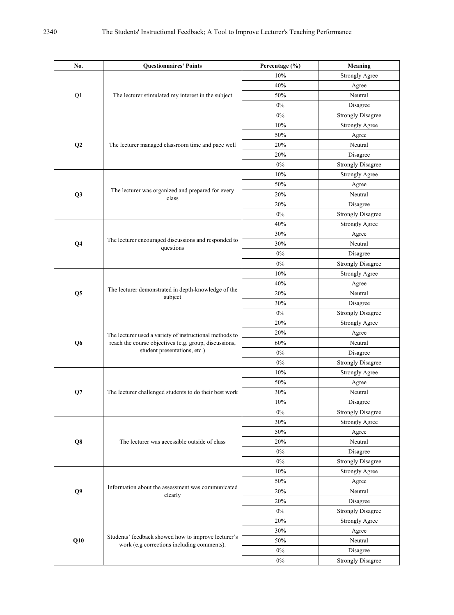| No.            | <b>Questionnaires' Points</b>                                                                                                                    | Percentage (%) | Meaning                  |
|----------------|--------------------------------------------------------------------------------------------------------------------------------------------------|----------------|--------------------------|
| Q1             |                                                                                                                                                  | 10%            | <b>Strongly Agree</b>    |
|                |                                                                                                                                                  | $40\%$         | Agree                    |
|                | The lecturer stimulated my interest in the subject                                                                                               | 50%            | Neutral                  |
|                |                                                                                                                                                  | $0\%$          | Disagree                 |
|                |                                                                                                                                                  | $0\%$          | <b>Strongly Disagree</b> |
| Q2             | The lecturer managed classroom time and pace well                                                                                                | 10%            | <b>Strongly Agree</b>    |
|                |                                                                                                                                                  | 50%            | Agree                    |
|                |                                                                                                                                                  | $20\%$         | Neutral                  |
|                |                                                                                                                                                  | 20%            | Disagree                 |
|                |                                                                                                                                                  | $0\%$          | <b>Strongly Disagree</b> |
| Q <sub>3</sub> | The lecturer was organized and prepared for every<br>class                                                                                       | 10%            | <b>Strongly Agree</b>    |
|                |                                                                                                                                                  | 50%            | Agree                    |
|                |                                                                                                                                                  | 20%            | Neutral                  |
|                |                                                                                                                                                  | $20\%$         | Disagree                 |
|                |                                                                                                                                                  | $0\%$          | <b>Strongly Disagree</b> |
| Q <sub>4</sub> | The lecturer encouraged discussions and responded to<br>questions                                                                                | 40%            | <b>Strongly Agree</b>    |
|                |                                                                                                                                                  | 30%            | Agree                    |
|                |                                                                                                                                                  | 30%            | Neutral                  |
|                |                                                                                                                                                  | $0\%$          | Disagree                 |
|                |                                                                                                                                                  | $0\%$          | <b>Strongly Disagree</b> |
| Q <sub>5</sub> | The lecturer demonstrated in depth-knowledge of the<br>subject                                                                                   | 10%            | <b>Strongly Agree</b>    |
|                |                                                                                                                                                  | 40%            | Agree                    |
|                |                                                                                                                                                  | 20%            | Neutral                  |
|                |                                                                                                                                                  | 30%            | Disagree                 |
|                |                                                                                                                                                  | $0\%$          | <b>Strongly Disagree</b> |
| Q <sub>6</sub> | The lecturer used a variety of instructional methods to<br>reach the course objectives (e.g. group, discussions,<br>student presentations, etc.) | $20\%$         | <b>Strongly Agree</b>    |
|                |                                                                                                                                                  | 20%            | Agree                    |
|                |                                                                                                                                                  | 60%            | Neutral                  |
|                |                                                                                                                                                  | $0\%$          | Disagree                 |
|                |                                                                                                                                                  | $0\%$          | <b>Strongly Disagree</b> |
| Q7             | The lecturer challenged students to do their best work                                                                                           | 10%            | <b>Strongly Agree</b>    |
|                |                                                                                                                                                  | $50\%$         | Agree                    |
|                |                                                                                                                                                  | 30%            | Neutral                  |
|                |                                                                                                                                                  | 10%            | Disagree                 |
|                |                                                                                                                                                  | $0\%$          | <b>Strongly Disagree</b> |
| Q8             | The lecturer was accessible outside of class                                                                                                     | 30%            | <b>Strongly Agree</b>    |
|                |                                                                                                                                                  | 50%            | Agree                    |
|                |                                                                                                                                                  | $20\%$         | Neutral                  |
|                |                                                                                                                                                  | $0\%$          | Disagree                 |
|                |                                                                                                                                                  | $0\%$          | <b>Strongly Disagree</b> |
| Q9             | Information about the assessment was communicated<br>clearly                                                                                     | 10%            | <b>Strongly Agree</b>    |
|                |                                                                                                                                                  | 50%            | Agree                    |
|                |                                                                                                                                                  | 20%            | Neutral                  |
|                |                                                                                                                                                  | 20%            | Disagree                 |
|                |                                                                                                                                                  | $0\%$          | <b>Strongly Disagree</b> |
| Q10            | Students' feedback showed how to improve lecturer's<br>work (e.g corrections including comments).                                                | 20%            | <b>Strongly Agree</b>    |
|                |                                                                                                                                                  | 30%            | Agree                    |
|                |                                                                                                                                                  | 50%            | Neutral                  |
|                |                                                                                                                                                  | $0\%$          | Disagree                 |
|                |                                                                                                                                                  | $0\%$          | <b>Strongly Disagree</b> |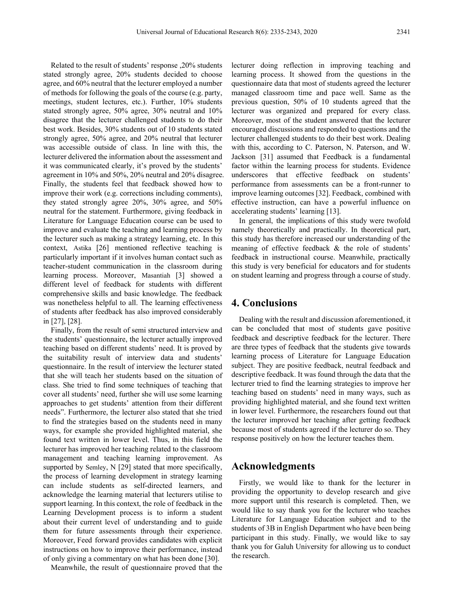Related to the result of students' response ,20% students stated strongly agree, 20% students decided to choose agree, and 60% neutral that the lecturer employed a number of methods for following the goals of the course (e.g. party, meetings, student lectures, etc.). Further, 10% students stated strongly agree, 50% agree, 30% neutral and 10% disagree that the lecturer challenged students to do their best work. Besides, 30% students out of 10 students stated strongly agree, 50% agree, and 20% neutral that lecturer was accessible outside of class. In line with this, the lecturer delivered the information about the assessment and it was communicated clearly, it's proved by the students' agreement in 10% and 50%, 20% neutral and 20% disagree. Finally, the students feel that feedback showed how to improve their work (e.g. corrections including comments), they stated strongly agree 20%, 30% agree, and 50% neutral for the statement. Furthermore, giving feedback in Literature for Language Education course can be used to improve and evaluate the teaching and learning process by the lecturer such as making a strategy learning, etc. In this context, Astika [26] mentioned reflective teaching is particularly important if it involves human contact such as teacher-student communication in the classroom during learning process. Moreover, Masantiah [3] showed a different level of feedback for students with different comprehensive skills and basic knowledge. The feedback was nonetheless helpful to all. The learning effectiveness of students after feedback has also improved considerably in [27], [28].

Finally, from the result of semi structured interview and the students' questionnaire, the lecturer actually improved teaching based on different students' need. It is proved by the suitability result of interview data and students' questionnaire. In the result of interview the lecturer stated that she will teach her students based on the situation of class. She tried to find some techniques of teaching that cover all students' need, further she will use some learning approaches to get students' attention from their different needs". Furthermore, the lecturer also stated that she tried to find the strategies based on the students need in many ways, for example she provided highlighted material, she found text written in lower level. Thus, in this field the lecturer has improved her teaching related to the classroom management and teaching learning improvement. As supported by Semley, N [29] stated that more specifically, the process of learning development in strategy learning can include students as self-directed learners, and acknowledge the learning material that lecturers utilise to support learning. In this context, the role of feedback in the Learning Development process is to inform a student about their current level of understanding and to guide them for future assessments through their experience. Moreover, Feed forward provides candidates with explicit instructions on how to improve their performance, instead of only giving a commentary on what has been done [30].

Meanwhile, the result of questionnaire proved that the

lecturer doing reflection in improving teaching and learning process. It showed from the questions in the questionnaire data that most of students agreed the lecturer managed classroom time and pace well. Same as the previous question, 50% of 10 students agreed that the lecturer was organized and prepared for every class. Moreover, most of the student answered that the lecturer encouraged discussions and responded to questions and the lecturer challenged students to do their best work. Dealing with this, according to C. Paterson, N. Paterson, and W. Jackson [31] assumed that Feedback is a fundamental factor within the learning process for students. Evidence underscores that effective feedback on students' performance from assessments can be a front-runner to improve learning outcomes [32]. Feedback, combined with effective instruction, can have a powerful influence on accelerating students' learning [13].

In general, the implications of this study were twofold namely theoretically and practically. In theoretical part, this study has therefore increased our understanding of the meaning of effective feedback & the role of students' feedback in instructional course. Meanwhile, practically this study is very beneficial for educators and for students on student learning and progress through a course of study.

# **4. Conclusions**

Dealing with the result and discussion aforementioned, it can be concluded that most of students gave positive feedback and descriptive feedback for the lecturer. There are three types of feedback that the students give towards learning process of Literature for Language Education subject. They are positive feedback, neutral feedback and descriptive feedback. It was found through the data that the lecturer tried to find the learning strategies to improve her teaching based on students' need in many ways, such as providing highlighted material, and she found text written in lower level. Furthermore, the researchers found out that the lecturer improved her teaching after getting feedback because most of students agreed if the lecturer do so. They response positively on how the lecturer teaches them.

## **Acknowledgments**

Firstly, we would like to thank for the lecturer in providing the opportunity to develop research and give more support until this research is completed. Then, we would like to say thank you for the lecturer who teaches Literature for Language Education subject and to the students of 3B in English Department who have been being participant in this study. Finally, we would like to say thank you for Galuh University for allowing us to conduct the research.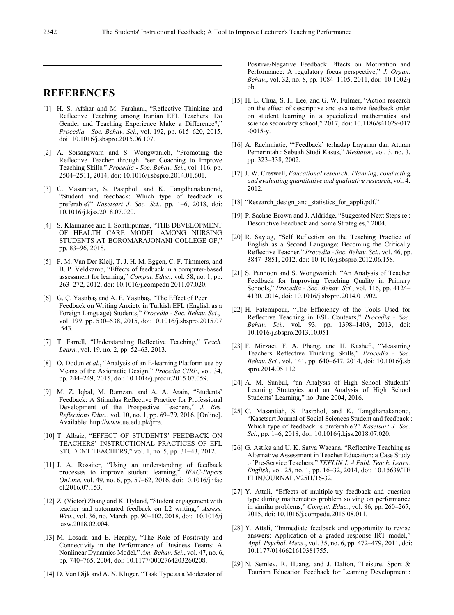# **REFERENCES**

- [1] H. S. Afshar and M. Farahani, "Reflective Thinking and Reflective Teaching among Iranian EFL Teachers: Do Gender and Teaching Experience Make a Difference?," *Procedia - Soc. Behav. Sci.*, vol. 192, pp. 615–620, 2015, doi: 10.1016/j.sbspro.2015.06.107.
- [2] A. Soisangwarn and S. Wongwanich, "Promoting the Reflective Teacher through Peer Coaching to Improve Teaching Skills," *Procedia - Soc. Behav. Sci.*, vol. 116, pp. 2504–2511, 2014, doi: 10.1016/j.sbspro.2014.01.601.
- [3] C. Masantiah, S. Pasiphol, and K. Tangdhanakanond, "Student and feedback: Which type of feedback is preferable?" *Kasetsart J. Soc. Sci.*, pp. 1–6, 2018, doi: 10.1016/j.kjss.2018.07.020.
- [4] S. Klaimanee and I. Sonthipumas, "THE DEVELOPMENT OF HEALTH CARE MODEL AMONG NURSING STUDENTS AT BOROMARAJONANI COLLEGE OF," pp. 83–96, 2018.
- [5] F. M. Van Der Kleij, T. J. H. M. Eggen, C. F. Timmers, and B. P. Veldkamp, "Effects of feedback in a computer-based assessment for learning," *Comput. Educ.*, vol. 58, no. 1, pp. 263–272, 2012, doi: 10.1016/j.compedu.2011.07.020.
- [6] G. Ç. Yastıbaş and A. E. Yastıbaş, "The Effect of Peer Feedback on Writing Anxiety in Turkish EFL (English as a Foreign Language) Students," *Procedia - Soc. Behav. Sci.*, vol. 199, pp. 530–538, 2015, doi:10.1016/j.sbspro.2015.07 .543.
- [7] T. Farrell, "Understanding Reflective Teaching," *Teach. Learn.*, vol. 19, no. 2, pp. 52–63, 2013.
- [8] O. Dodun *et al.*, "Analysis of an E-learning Platform use by Means of the Axiomatic Design," *Procedia CIRP*, vol. 34, pp. 244–249, 2015, doi: 10.1016/j.procir.2015.07.059.
- [9] M. Z. Iqbal, M. Ramzan, and A. A. Arain, "Students' Feedback: A Stimulus Reflective Practice for Professional Development of the Prospective Teachers," *J. Res. Reflections Educ.*, vol. 10, no. 1, pp. 69–79, 2016, [Online]. Available: http://www.ue.edu.pk/jrre.
- [10] T. Albaiz, "EFFECT OF STUDENTS' FEEDBACK ON TEACHERS' INSTRUCTIONAL PRACTICES OF EFL STUDENT TEACHERS," vol. 1, no. 5, pp. 31–43, 2012.
- [11] J. A. Rossiter, "Using an understanding of feedback processes to improve student learning," *IFAC-Papers OnLine*, vol. 49, no. 6, pp. 57–62, 2016, doi: 10.1016/j.ifac ol.2016.07.153.
- [12] Z. (Victor) Zhang and K. Hyland, "Student engagement with teacher and automated feedback on L2 writing," *Assess. Writ.*, vol. 36, no. March, pp. 90–102, 2018, doi: 10.1016/j .asw.2018.02.004.
- [13] M. Losada and E. Heaphy, "The Role of Positivity and Connectivity in the Performance of Business Teams: A Nonlinear Dynamics Model," *Am. Behav. Sci.*, vol. 47, no. 6, pp. 740–765, 2004, doi: 10.1177/0002764203260208.
- [14] D. Van Dijk and A. N. Kluger, "Task Type as a Moderator of

Positive/Negative Feedback Effects on Motivation and Performance: A regulatory focus perspective," *J. Organ. Behav.*, vol. 32, no. 8, pp. 1084–1105, 2011, doi: 10.1002/j ob.

- [15] H. L. Chua, S. H. Lee, and G. W. Fulmer, "Action research" on the effect of descriptive and evaluative feedback order on student learning in a specialized mathematics and science secondary school," 2017, doi: 10.1186/s41029-017 -0015-y.
- [16] A. Rachmiatie, "'Feedback' terhadap Layanan dan Aturan Pemerintah : Sebuah Studi Kasus," *Mediator*, vol. 3, no. 3, pp. 323–338, 2002.
- [17] J. W. Creswell, *Educational research: Planning, conducting, and evaluating quantitative and qualitative research*, vol. 4. 2012.
- [18] "Research design and statistics for appli.pdf."
- [19] P. Sachse-Brown and J. Aldridge, "Suggested Next Steps re : Descriptive Feedback and Some Strategies," 2004.
- [20] R. Saylag, "Self Reflection on the Teaching Practice of English as a Second Language: Becoming the Critically Reflective Teacher," *Procedia - Soc. Behav. Sci.*, vol. 46, pp. 3847–3851, 2012, doi: 10.1016/j.sbspro.2012.06.158.
- [21] S. Panhoon and S. Wongwanich, "An Analysis of Teacher Feedback for Improving Teaching Quality in Primary Schools," *Procedia - Soc. Behav. Sci.*, vol. 116, pp. 4124– 4130, 2014, doi: 10.1016/j.sbspro.2014.01.902.
- [22] H. Fatemipour, "The Efficiency of the Tools Used for Reflective Teaching in ESL Contexts," *Procedia - Soc. Behav. Sci.*, vol. 93, pp. 1398–1403, 2013, doi: 10.1016/j.sbspro.2013.10.051.
- [23] F. Mirzaei, F. A. Phang, and H. Kashefi, "Measuring Teachers Reflective Thinking Skills," *Procedia - Soc. Behav. Sci.*, vol. 141, pp. 640–647, 2014, doi: 10.1016/j.sb spro.2014.05.112.
- [24] A. M. Sunbul, "an Analysis of High School Students' Learning Strategies and an Analysis of High School Students' Learning," no. June 2004, 2016.
- [25] C. Masantiah, S. Pasiphol, and K. Tangdhanakanond, "Kasetsart Journal of Social Sciences Student and feedback : Which type of feedback is preferable ?" *Kasetsart J. Soc. Sci.*, pp. 1–6, 2018, doi: 10.1016/j.kjss.2018.07.020.
- [26] G. Astika and U. K. Satya Wacana, "Reflective Teaching as Alternative Assessment in Teacher Education: a Case Study of Pre-Service Teachers," *TEFLIN J. A Publ. Teach. Learn. English*, vol. 25, no. 1, pp. 16–32, 2014, doi: 10.15639/TE FLINJOURNAL.V25I1/16-32.
- [27] Y. Attali, "Effects of multiple-try feedback and question type during mathematics problem solving on performance in similar problems," *Comput. Educ.*, vol. 86, pp. 260–267, 2015, doi: 10.1016/j.compedu.2015.08.011.
- [28] Y. Attali, "Immediate feedback and opportunity to revise answers: Application of a graded response IRT model," *Appl. Psychol. Meas.*, vol. 35, no. 6, pp. 472–479, 2011, doi: 10.1177/0146621610381755.
- [29] N. Semley, R. Huang, and J. Dalton, "Leisure, Sport & Tourism Education Feedback for Learning Development :